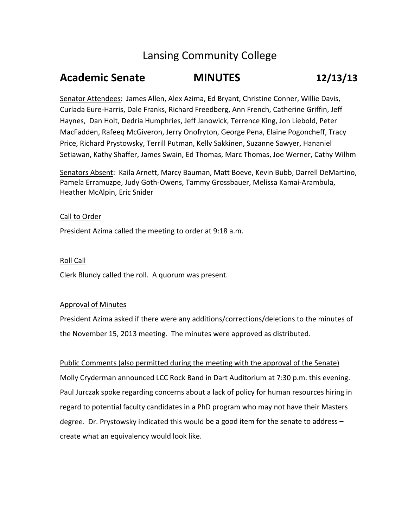# Lansing Community College

## **Academic Senate MINUTES 12/13/13**

Senator Attendees: James Allen, Alex Azima, Ed Bryant, Christine Conner, Willie Davis, Curlada Eure‐Harris, Dale Franks, Richard Freedberg, Ann French, Catherine Griffin, Jeff Haynes, Dan Holt, Dedria Humphries, Jeff Janowick, Terrence King, Jon Liebold, Peter MacFadden, Rafeeq McGiveron, Jerry Onofryton, George Pena, Elaine Pogoncheff, Tracy Price, Richard Prystowsky, Terrill Putman, Kelly Sakkinen, Suzanne Sawyer, Hananiel Setiawan, Kathy Shaffer, James Swain, Ed Thomas, Marc Thomas, Joe Werner, Cathy Wilhm

Senators Absent: Kaila Arnett, Marcy Bauman, Matt Boeve, Kevin Bubb, Darrell DeMartino, Pamela Erramuzpe, Judy Goth‐Owens, Tammy Grossbauer, Melissa Kamai‐Arambula, Heather McAlpin, Eric Snider

## Call to Order

President Azima called the meeting to order at 9:18 a.m.

### Roll Call

Clerk Blundy called the roll. A quorum was present.

### Approval of Minutes

President Azima asked if there were any additions/corrections/deletions to the minutes of the November 15, 2013 meeting. The minutes were approved as distributed.

## Public Comments (also permitted during the meeting with the approval of the Senate)

Molly Cryderman announced LCC Rock Band in Dart Auditorium at 7:30 p.m. this evening. Paul Jurczak spoke regarding concerns about a lack of policy for human resources hiring in regard to potential faculty candidates in a PhD program who may not have their Masters degree. Dr. Prystowsky indicated this would be a good item for the senate to address – create what an equivalency would look like.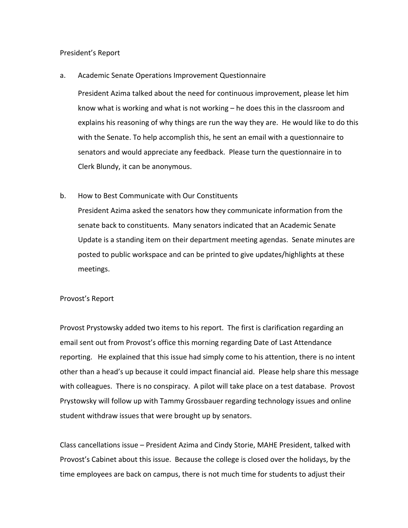#### President's Report

#### a. Academic Senate Operations Improvement Questionnaire

President Azima talked about the need for continuous improvement, please let him know what is working and what is not working – he does this in the classroom and explains his reasoning of why things are run the way they are. He would like to do this with the Senate. To help accomplish this, he sent an email with a questionnaire to senators and would appreciate any feedback. Please turn the questionnaire in to Clerk Blundy, it can be anonymous.

#### b. How to Best Communicate with Our Constituents

President Azima asked the senators how they communicate information from the senate back to constituents. Many senators indicated that an Academic Senate Update is a standing item on their department meeting agendas. Senate minutes are posted to public workspace and can be printed to give updates/highlights at these meetings.

#### Provost's Report

Provost Prystowsky added two items to his report. The first is clarification regarding an email sent out from Provost's office this morning regarding Date of Last Attendance reporting. He explained that this issue had simply come to his attention, there is no intent other than a head's up because it could impact financial aid. Please help share this message with colleagues. There is no conspiracy. A pilot will take place on a test database. Provost Prystowsky will follow up with Tammy Grossbauer regarding technology issues and online student withdraw issues that were brought up by senators.

Class cancellations issue – President Azima and Cindy Storie, MAHE President, talked with Provost's Cabinet about this issue. Because the college is closed over the holidays, by the time employees are back on campus, there is not much time for students to adjust their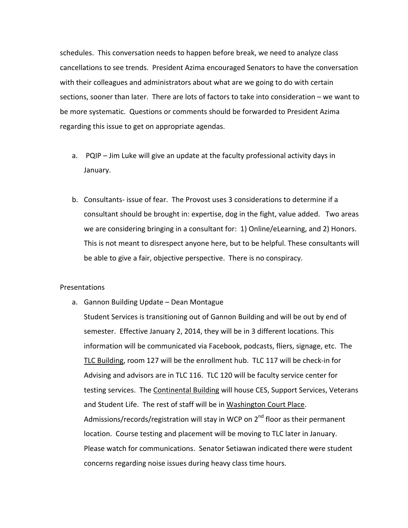schedules. This conversation needs to happen before break, we need to analyze class cancellations to see trends. President Azima encouraged Senators to have the conversation with their colleagues and administrators about what are we going to do with certain sections, sooner than later. There are lots of factors to take into consideration – we want to be more systematic. Questions or comments should be forwarded to President Azima regarding this issue to get on appropriate agendas.

- a. PQIP Jim Luke will give an update at the faculty professional activity days in January.
- b. Consultants‐ issue of fear. The Provost uses 3 considerations to determine if a consultant should be brought in: expertise, dog in the fight, value added. Two areas we are considering bringing in a consultant for: 1) Online/eLearning, and 2) Honors. This is not meant to disrespect anyone here, but to be helpful. These consultants will be able to give a fair, objective perspective. There is no conspiracy.

#### Presentations

a. Gannon Building Update – Dean Montague

Student Services is transitioning out of Gannon Building and will be out by end of semester. Effective January 2, 2014, they will be in 3 different locations. This information will be communicated via Facebook, podcasts, fliers, signage, etc. The TLC Building, room 127 will be the enrollment hub. TLC 117 will be check‐in for Advising and advisors are in TLC 116. TLC 120 will be faculty service center for testing services. The Continental Building will house CES, Support Services, Veterans and Student Life. The rest of staff will be in Washington Court Place. Admissions/records/registration will stay in WCP on 2<sup>nd</sup> floor as their permanent location. Course testing and placement will be moving to TLC later in January. Please watch for communications. Senator Setiawan indicated there were student concerns regarding noise issues during heavy class time hours.